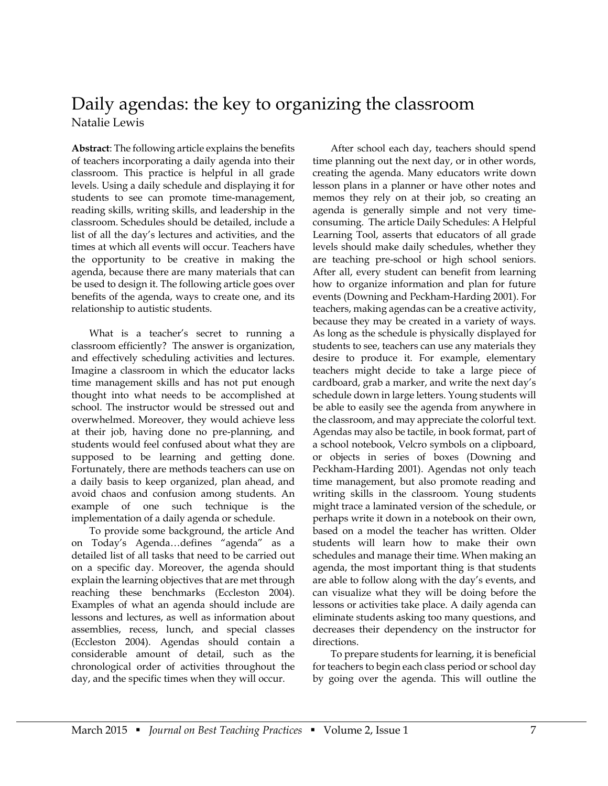## Daily agendas: the key to organizing the classroom Natalie Lewis

**Abstract**: The following article explains the benefits of teachers incorporating a daily agenda into their classroom. This practice is helpful in all grade levels. Using a daily schedule and displaying it for students to see can promote time-management, reading skills, writing skills, and leadership in the classroom. Schedules should be detailed, include a list of all the day's lectures and activities, and the times at which all events will occur. Teachers have the opportunity to be creative in making the agenda, because there are many materials that can be used to design it. The following article goes over benefits of the agenda, ways to create one, and its relationship to autistic students.

What is a teacher's secret to running a classroom efficiently? The answer is organization, and effectively scheduling activities and lectures. Imagine a classroom in which the educator lacks time management skills and has not put enough thought into what needs to be accomplished at school. The instructor would be stressed out and overwhelmed. Moreover, they would achieve less at their job, having done no pre-planning, and students would feel confused about what they are supposed to be learning and getting done. Fortunately, there are methods teachers can use on a daily basis to keep organized, plan ahead, and avoid chaos and confusion among students. An example of one such technique is the implementation of a daily agenda or schedule.

To provide some background, the article And on Today's Agenda…defines "agenda" as a detailed list of all tasks that need to be carried out on a specific day. Moreover, the agenda should explain the learning objectives that are met through reaching these benchmarks (Eccleston 2004). Examples of what an agenda should include are lessons and lectures, as well as information about assemblies, recess, lunch, and special classes (Eccleston 2004). Agendas should contain a considerable amount of detail, such as the chronological order of activities throughout the day, and the specific times when they will occur.

After school each day, teachers should spend time planning out the next day, or in other words, creating the agenda. Many educators write down lesson plans in a planner or have other notes and memos they rely on at their job, so creating an agenda is generally simple and not very timeconsuming. The article Daily Schedules: A Helpful Learning Tool, asserts that educators of all grade levels should make daily schedules, whether they are teaching pre-school or high school seniors. After all, every student can benefit from learning how to organize information and plan for future events (Downing and Peckham-Harding 2001). For teachers, making agendas can be a creative activity, because they may be created in a variety of ways. As long as the schedule is physically displayed for students to see, teachers can use any materials they desire to produce it. For example, elementary teachers might decide to take a large piece of cardboard, grab a marker, and write the next day's schedule down in large letters. Young students will be able to easily see the agenda from anywhere in the classroom, and may appreciate the colorful text. Agendas may also be tactile, in book format, part of a school notebook, Velcro symbols on a clipboard, or objects in series of boxes (Downing and Peckham-Harding 2001). Agendas not only teach time management, but also promote reading and writing skills in the classroom. Young students might trace a laminated version of the schedule, or perhaps write it down in a notebook on their own, based on a model the teacher has written. Older students will learn how to make their own schedules and manage their time. When making an agenda, the most important thing is that students are able to follow along with the day's events, and can visualize what they will be doing before the lessons or activities take place. A daily agenda can eliminate students asking too many questions, and decreases their dependency on the instructor for directions.

To prepare students for learning, it is beneficial for teachers to begin each class period or school day by going over the agenda. This will outline the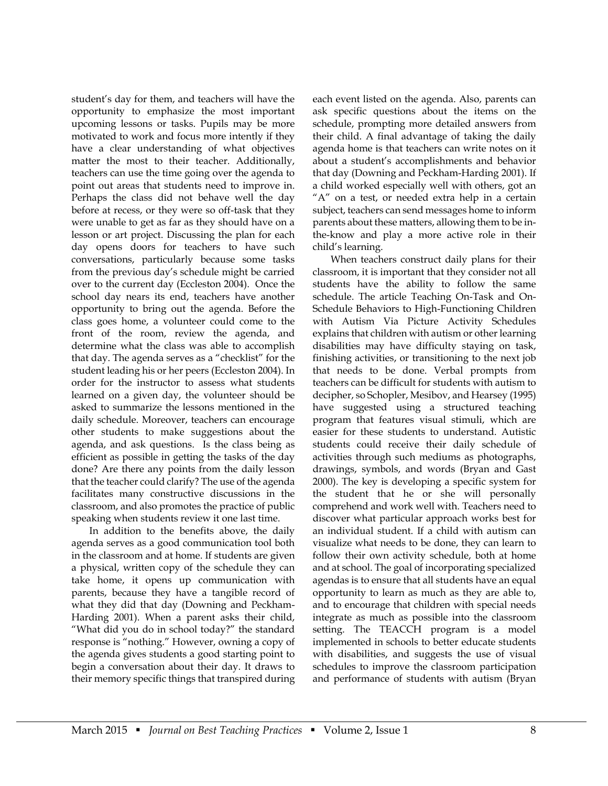student's day for them, and teachers will have the opportunity to emphasize the most important upcoming lessons or tasks. Pupils may be more motivated to work and focus more intently if they have a clear understanding of what objectives matter the most to their teacher. Additionally, teachers can use the time going over the agenda to point out areas that students need to improve in. Perhaps the class did not behave well the day before at recess, or they were so off-task that they were unable to get as far as they should have on a lesson or art project. Discussing the plan for each day opens doors for teachers to have such conversations, particularly because some tasks from the previous day's schedule might be carried over to the current day (Eccleston 2004). Once the school day nears its end, teachers have another opportunity to bring out the agenda. Before the class goes home, a volunteer could come to the front of the room, review the agenda, and determine what the class was able to accomplish that day. The agenda serves as a "checklist" for the student leading his or her peers (Eccleston 2004). In order for the instructor to assess what students learned on a given day, the volunteer should be asked to summarize the lessons mentioned in the daily schedule. Moreover, teachers can encourage other students to make suggestions about the agenda, and ask questions. Is the class being as efficient as possible in getting the tasks of the day done? Are there any points from the daily lesson that the teacher could clarify? The use of the agenda facilitates many constructive discussions in the classroom, and also promotes the practice of public speaking when students review it one last time.

In addition to the benefits above, the daily agenda serves as a good communication tool both in the classroom and at home. If students are given a physical, written copy of the schedule they can take home, it opens up communication with parents, because they have a tangible record of what they did that day (Downing and Peckham-Harding 2001). When a parent asks their child, "What did you do in school today?" the standard response is "nothing." However, owning a copy of the agenda gives students a good starting point to begin a conversation about their day. It draws to their memory specific things that transpired during

each event listed on the agenda. Also, parents can ask specific questions about the items on the schedule, prompting more detailed answers from their child. A final advantage of taking the daily agenda home is that teachers can write notes on it about a student's accomplishments and behavior that day (Downing and Peckham-Harding 2001). If a child worked especially well with others, got an "A" on a test, or needed extra help in a certain subject, teachers can send messages home to inform parents about these matters, allowing them to be inthe-know and play a more active role in their child's learning.

When teachers construct daily plans for their classroom, it is important that they consider not all students have the ability to follow the same schedule. The article Teaching On-Task and On-Schedule Behaviors to High-Functioning Children with Autism Via Picture Activity Schedules explains that children with autism or other learning disabilities may have difficulty staying on task, finishing activities, or transitioning to the next job that needs to be done. Verbal prompts from teachers can be difficult for students with autism to decipher, so Schopler, Mesibov, and Hearsey (1995) have suggested using a structured teaching program that features visual stimuli, which are easier for these students to understand. Autistic students could receive their daily schedule of activities through such mediums as photographs, drawings, symbols, and words (Bryan and Gast 2000). The key is developing a specific system for the student that he or she will personally comprehend and work well with. Teachers need to discover what particular approach works best for an individual student. If a child with autism can visualize what needs to be done, they can learn to follow their own activity schedule, both at home and at school. The goal of incorporating specialized agendas is to ensure that all students have an equal opportunity to learn as much as they are able to, and to encourage that children with special needs integrate as much as possible into the classroom setting. The TEACCH program is a model implemented in schools to better educate students with disabilities, and suggests the use of visual schedules to improve the classroom participation and performance of students with autism (Bryan